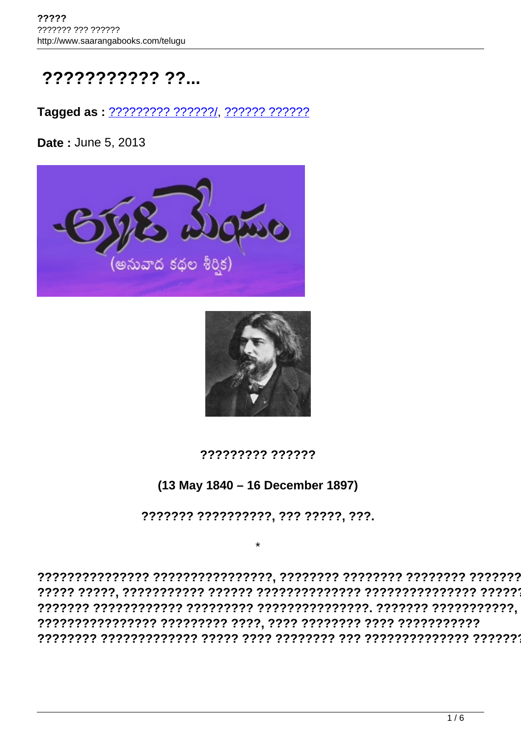## ??????????? ??...

Tagged as: ????????? ??????!, ?????? ??????

Date: June 5, 2013





????????? ??????

(13 May 1840 – 16 December 1897)

??????? ??????????, ??? ?????, ???.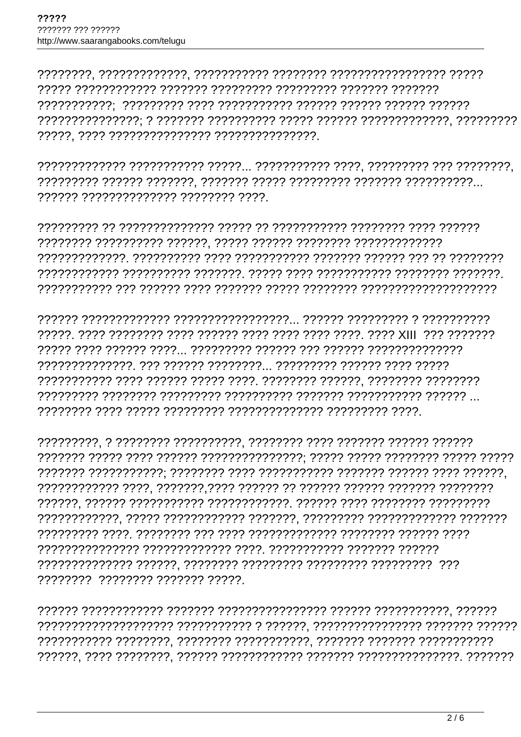77777777 77777777 7777777 77777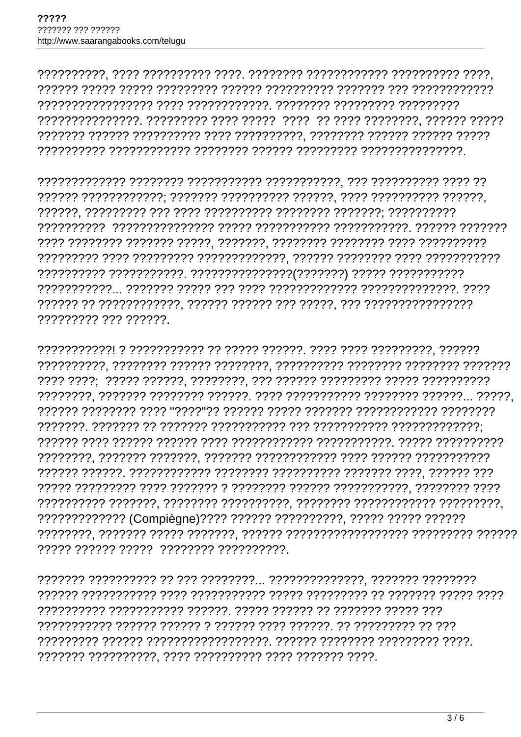????????? ??? ??????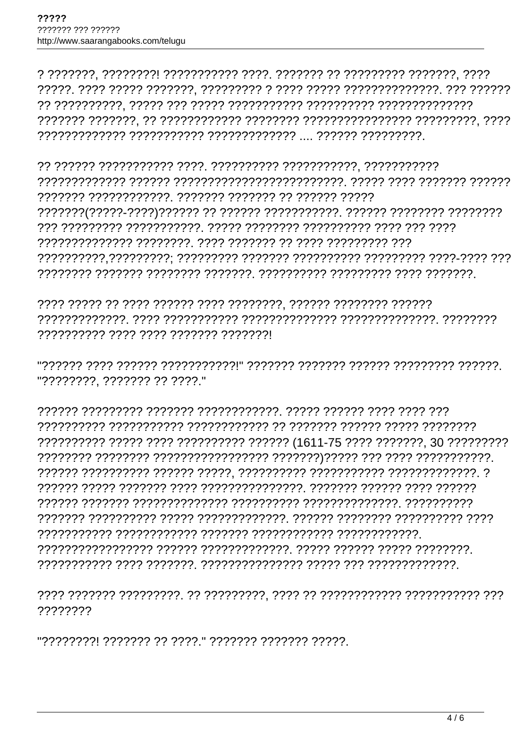7777777777 7777 7777 7777777 7777777

<u>רְיִרְיִרְיָךְ הְיִרְיִרְיִרְיָךְ הְיִרְיָרָךְ הְיִרְיָרְיָךְ הְיִרְיִרְיִרְיֹךְ הְיִרְיֹךָ הְיָרְיָךָ הְיִרְי</u> "???????? ??????? ?? ???? "

????????? ????? ???? ?????????? ?????? (1611-75 ???? ???????, 30 ?????????? 

????????

"????????! ??????? ?? ???? " ??????? ?????? ?????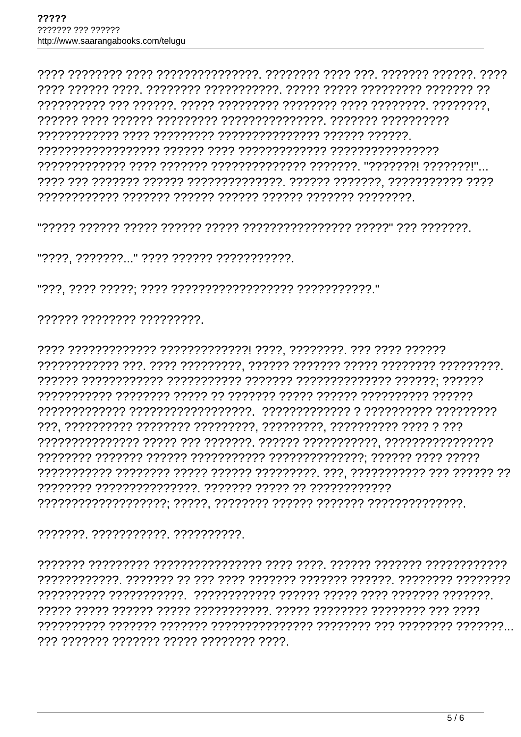777777 77777777 777777777

, ??? ?????? ??????? ????? ??????? ????